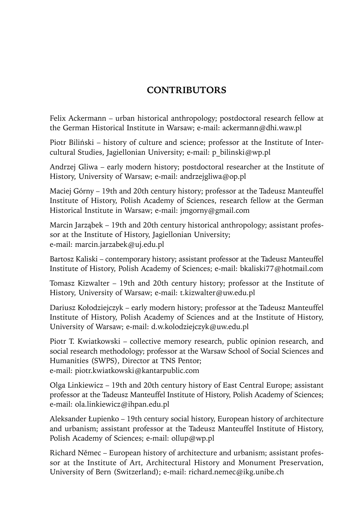## **CONTRIBUTORS**

Felix Ackermann – urban historical anthropology; postdoctoral research fellow at the German Historical Institute in Warsaw; e-mail: ackermann@dhi.waw.pl

Piotr Biliński – history of culture and science; professor at the Institute of Intercultural Studies, Jagiellonian University; e-mail: p\_bilinski@wp.pl

Andrzej Gliwa – early modern history; postdoctoral researcher at the Institute of History, University of Warsaw; e-mail: andrzejgliwa@op.pl

Maciej Górny – 19th and 20th century history; professor at the Tadeusz Manteuffel Institute of History, Polish Academy of Sciences, research fellow at the German Historical Institute in Warsaw; e-mail: jmgorny@gmail.com

Marcin Jarząbek – 19th and 20th century historical anthropology; assistant professor at the Institute of History, Jagiellonian University; e-mail: marcin.jarzabek@uj.edu.pl

Bartosz Kaliski – contemporary history; assistant professor at the Tadeusz Manteuffel Institute of History, Polish Academy of Sciences; e-mail: bkaliski77@hotmail.com

Tomasz Kizwalter – 19th and 20th century history; professor at the Institute of History, University of Warsaw; e-mail: t.kizwalter@uw.edu.pl

Dariusz Kołodziejczyk – early modern history; professor at the Tadeusz Manteuffel Institute of History, Polish Academy of Sciences and at the Institute of History, University of Warsaw; e-mail: d.w.kolodziejczyk@uw.edu.pl

Piotr T. Kwiatkowski – collective memory research, public opinion research, and social research methodology; professor at the Warsaw School of Social Sciences and Humanities (SWPS), Director at TNS Pentor; e-mail: piotr.kwiatkowski@kantarpublic.com

Olga Linkiewicz – 19th and 20th century history of East Central Europe; assistant professor at the Tadeusz Manteuffel Institute of History, Polish Academy of Sciences; e-mail: ola.linkiewicz@ihpan.edu.pl

Aleksander Łupienko – 19th century social history, European history of architecture and urbanism; assistant professor at the Tadeusz Manteuffel Institute of History, Polish Academy of Sciences; e-mail: ollup@wp.pl

Richard Němec – European history of architecture and urbanism; assistant professor at the Institute of Art, Architectural History and Monument Preservation, University of Bern (Switzerland); e-mail: richard.nemec@ikg.unibe.ch